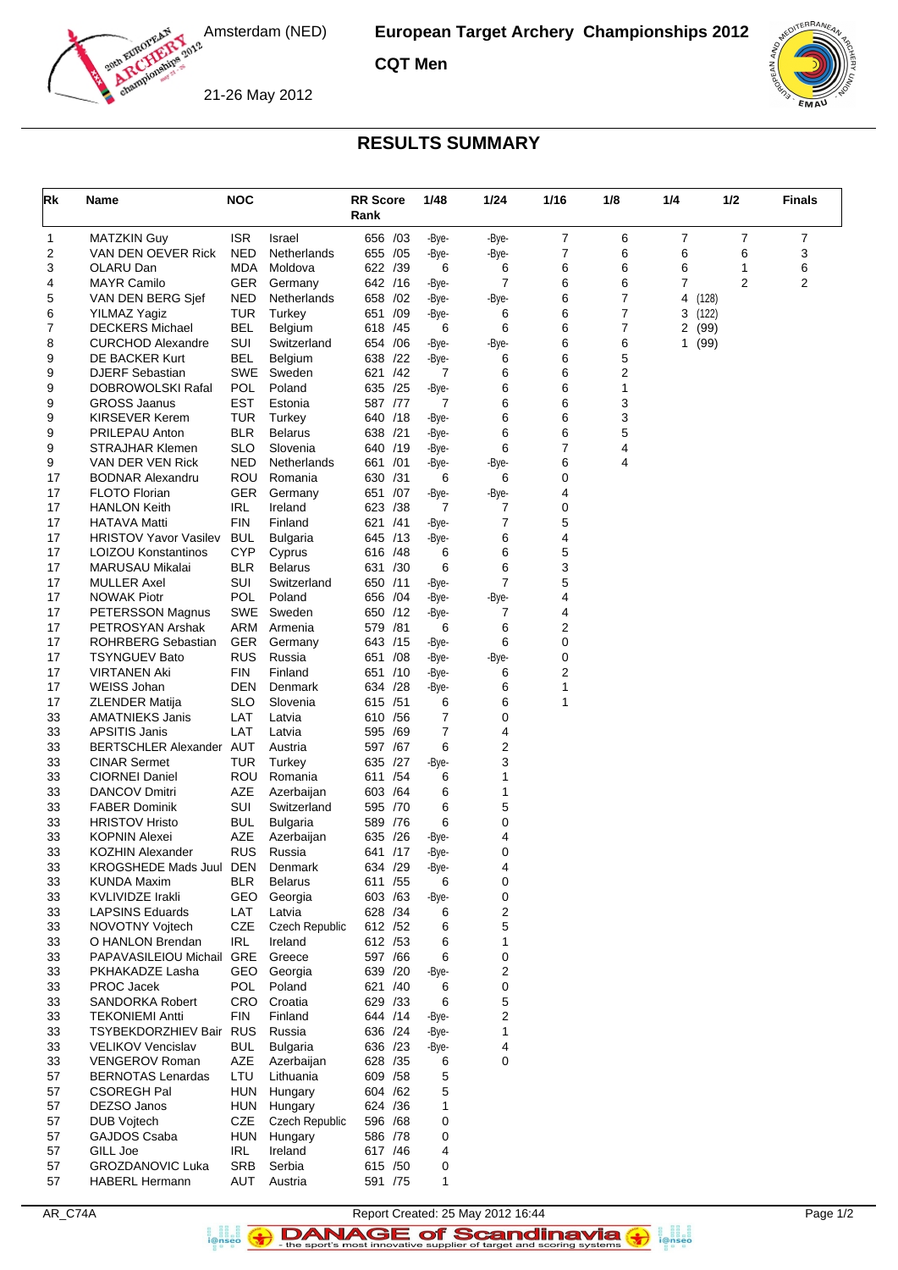

**European Target Archery Championships 2012**

**CQT Men**





## **RESULTS SUMMARY**

| Rk       | Name                                            | <b>NOC</b>               |                       | <b>RR Score</b><br>Rank |     | 1/48           | 1/24       | 1/16           | 1/8    | 1/4                 | 1/2           | <b>Finals</b> |
|----------|-------------------------------------------------|--------------------------|-----------------------|-------------------------|-----|----------------|------------|----------------|--------|---------------------|---------------|---------------|
| 1        | <b>MATZKIN Guy</b>                              | <b>ISR</b>               | Israel                | 656 /03                 |     | -Bye-          | -Bye-      | 7              | 6      | 7                   | 7             | 7             |
| 2        | VAN DEN OEVER Rick                              | <b>NED</b>               | Netherlands           | 655                     | /05 | -Bye-          | -Bye-      | $\overline{7}$ | 6      | 6                   | 6             | 3             |
| 3        | OLARU Dan                                       | MDA                      | Moldova               | 622 /39                 |     | 6              | 6          | 6              | 6      | 6                   | 1             | 6             |
| 4        | <b>MAYR Camilo</b>                              | <b>GER</b>               | Germany               | 642 /16                 |     | -Bye-          | 7          | 6              | 6      | 7                   | 2             | 2             |
| 5        | VAN DEN BERG Sjef                               | <b>NED</b><br><b>TUR</b> | Netherlands           | 658 / 02                |     | -Bye-          | -Bye-      | 6<br>6         | 7<br>7 | 4                   | (128)         |               |
| 6<br>7   | <b>YILMAZ Yagiz</b><br><b>DECKERS Michael</b>   | BEL                      | Turkey<br>Belgium     | 651 /09<br>618          | /45 | -Bye-<br>6     | 6<br>6     | 6              | 7      | 3<br>$\overline{2}$ | (122)<br>(99) |               |
| 8        | <b>CURCHOD Alexandre</b>                        | <b>SUI</b>               | Switzerland           | 654 / 06                |     | -Bye-          | -Bye-      | 6              | 6      | 1                   | (99)          |               |
| 9        | DE BACKER Kurt                                  | <b>BEL</b>               | Belgium               | 638                     | /22 | -Bye-          | 6          | 6              | 5      |                     |               |               |
| 9        | <b>DJERF Sebastian</b>                          | <b>SWE</b>               | Sweden                | 621 /42                 |     | 7              | 6          | 6              | 2      |                     |               |               |
| 9        | DOBROWOLSKI Rafal                               | <b>POL</b>               | Poland                | 635 /25                 |     | -Bye-          | 6          | 6              | 1      |                     |               |               |
| 9        | <b>GROSS Jaanus</b>                             | <b>EST</b>               | Estonia               | 587 /77                 |     | 7              | 6          | 6              | 3      |                     |               |               |
| 9        | <b>KIRSEVER Kerem</b>                           | <b>TUR</b>               | Turkey                | 640                     | /18 | -Bye-          | 6          | 6              | 3      |                     |               |               |
| 9        | PRILEPAU Anton                                  | <b>BLR</b>               | <b>Belarus</b>        | 638 /21                 |     | -Bye-          | 6          | 6              | 5      |                     |               |               |
| 9        | <b>STRAJHAR Klemen</b>                          | <b>SLO</b>               | Slovenia              | 640                     | /19 | -Bye-          | 6          | $\overline{7}$ | 4      |                     |               |               |
| 9        | VAN DER VEN Rick                                | <b>NED</b>               | Netherlands           | 661                     | /01 | -Bye-          | -Bye-      | 6              | 4      |                     |               |               |
| 17<br>17 | <b>BODNAR Alexandru</b><br><b>FLOTO Florian</b> | ROU<br><b>GER</b>        | Romania<br>Germany    | 630 /31<br>651          | /07 | 6              | 6<br>-Bye- | 0<br>4         |        |                     |               |               |
| 17       | <b>HANLON Keith</b>                             | <b>IRL</b>               | Ireland               | 623                     | /38 | -Bye-<br>7     | 7          | 0              |        |                     |               |               |
| 17       | <b>HATAVA Matti</b>                             | <b>FIN</b>               | Finland               | 621 /41                 |     | -Bye-          | 7          | 5              |        |                     |               |               |
| 17       | <b>HRISTOV Yavor Vasilev</b>                    | <b>BUL</b>               | <b>Bulgaria</b>       | 645                     | /13 | -Bye-          | 6          | 4              |        |                     |               |               |
| 17       | LOIZOU Konstantinos                             | <b>CYP</b>               | Cyprus                | 616 /48                 |     | 6              | 6          | 5              |        |                     |               |               |
| 17       | MARUSAU Mikalai                                 | <b>BLR</b>               | <b>Belarus</b>        | 631 /30                 |     | 6              | 6          | 3              |        |                     |               |               |
| 17       | <b>MULLER Axel</b>                              | SUI                      | Switzerland           | 650 /11                 |     | -Bye-          | 7          | 5              |        |                     |               |               |
| 17       | <b>NOWAK Piotr</b>                              | <b>POL</b>               | Poland                | 656                     | /04 | -Bye-          | -Bye-      | 4              |        |                     |               |               |
| 17       | PETERSSON Magnus                                | SWE                      | Sweden                | 650 /12                 |     | -Bye-          | 7          | 4              |        |                     |               |               |
| 17       | PETROSYAN Arshak                                | <b>ARM</b>               | Armenia               | 579                     | /81 | 6              | 6          | 2              |        |                     |               |               |
| 17       | <b>ROHRBERG Sebastian</b>                       | <b>GER</b>               | Germany               | 643 /15                 |     | -Bye-          | 6          | 0              |        |                     |               |               |
| 17       | <b>TSYNGUEV Bato</b><br><b>VIRTANEN Aki</b>     | <b>RUS</b><br><b>FIN</b> | Russia<br>Finland     | 651 /08                 |     | -Bye-          | -Bye-      | 0<br>2         |        |                     |               |               |
| 17<br>17 | WEISS Johan                                     | DEN                      | Denmark               | 651<br>634 /28          | /10 | -Bye-<br>-Bye- | 6<br>6     | 1              |        |                     |               |               |
| 17       | <b>ZLENDER Matija</b>                           | <b>SLO</b>               | Slovenia              | 615 /51                 |     | 6              | 6          | 1              |        |                     |               |               |
| 33       | <b>AMATNIEKS Janis</b>                          | LAT                      | Latvia                | 610                     | /56 | 7              | 0          |                |        |                     |               |               |
| 33       | <b>APSITIS Janis</b>                            | LAT                      | Latvia                | 595                     | /69 | 7              | 4          |                |        |                     |               |               |
| 33       | BERTSCHLER Alexander AUT                        |                          | Austria               | 597 /67                 |     | 6              | 2          |                |        |                     |               |               |
| 33       | <b>CINAR Sermet</b>                             | TUR                      | Turkey                | 635                     | /27 | -Bye-          | 3          |                |        |                     |               |               |
| 33       | <b>CIORNEI Daniel</b>                           | ROU                      | Romania               | 611 /54                 |     | 6              | 1          |                |        |                     |               |               |
| 33       | <b>DANCOV Dmitri</b>                            | AZE                      | Azerbaijan            | 603 / 64                |     | 6              | 1          |                |        |                     |               |               |
| 33       | <b>FABER Dominik</b>                            | <b>SUI</b>               | Switzerland           | 595 /70                 |     | 6              | 5          |                |        |                     |               |               |
| 33       | <b>HRISTOV Hristo</b>                           | <b>BUL</b>               | <b>Bulgaria</b>       | 589 / 76                |     | 6              | 0          |                |        |                     |               |               |
| 33<br>33 | <b>KOPNIN Alexei</b><br><b>KOZHIN Alexander</b> | AZE<br><b>RUS</b>        | Azerbaijan<br>Russia  | 635<br>641 /17          | /26 | -Bye-<br>-Bye- | 4<br>0     |                |        |                     |               |               |
| 33       | KROGSHEDE Mads Juul DEN                         |                          | Denmark               | 634 /29                 |     | $-Bye-$        | 4          |                |        |                     |               |               |
| 33       | <b>KUNDA Maxim</b>                              | <b>BLR</b>               | <b>Belarus</b>        | 611 /55                 |     | 6              | 0          |                |        |                     |               |               |
| 33       | KVLIVIDZE Irakli                                | GEO                      | Georgia               | 603 /63                 |     | -Bye-          | 0          |                |        |                     |               |               |
| 33       | <b>LAPSINS Eduards</b>                          | LAT                      | Latvia                | 628 / 34                |     | 6              | 2          |                |        |                     |               |               |
| 33       | NOVOTNY Vojtech                                 | CZE                      | <b>Czech Republic</b> | 612 /52                 |     | 6              | 5          |                |        |                     |               |               |
| 33       | O HANLON Brendan                                | <b>IRL</b>               | Ireland               | 612 / 53                |     | 6              | 1          |                |        |                     |               |               |
| 33       | PAPAVASILEIOU Michail                           | GRE                      | Greece                | 597 /66                 |     | 6              | 0          |                |        |                     |               |               |
| 33       | PKHAKADZE Lasha                                 | GEO                      | Georgia               | 639 /20                 |     | -Bye-          | 2          |                |        |                     |               |               |
| 33       | PROC Jacek                                      | POL                      | Poland                | 621 /40                 |     | 6              | 0          |                |        |                     |               |               |
| 33<br>33 | SANDORKA Robert<br><b>TEKONIEMI Antti</b>       | CRO<br>FIN               | Croatia<br>Finland    | 629 /33<br>644 /14      |     | 6<br>-Bye-     | 5<br>2     |                |        |                     |               |               |
| 33       | TSYBEKDORZHIEV Bair RUS                         |                          | Russia                | 636 /24                 |     | -Bye-          | 1          |                |        |                     |               |               |
| 33       | <b>VELIKOV Vencislav</b>                        | <b>BUL</b>               | <b>Bulgaria</b>       | 636 /23                 |     | -Bye-          | 4          |                |        |                     |               |               |
| 33       | VENGEROV Roman                                  | AZE                      | Azerbaijan            | 628 / 35                |     | 6              | 0          |                |        |                     |               |               |
| 57       | <b>BERNOTAS Lenardas</b>                        | LTU                      | Lithuania             | 609 / 58                |     | 5              |            |                |        |                     |               |               |
| 57       | <b>CSOREGH Pal</b>                              | <b>HUN</b>               | Hungary               | 604 / 62                |     | 5              |            |                |        |                     |               |               |
| 57       | DEZSO Janos                                     | <b>HUN</b>               | Hungary               | 624 / 36                |     | $\mathbf{1}$   |            |                |        |                     |               |               |
| 57       | <b>DUB Vojtech</b>                              | CZE                      | <b>Czech Republic</b> | 596 /68                 |     | 0              |            |                |        |                     |               |               |
| 57       | GAJDOS Csaba                                    | HUN                      | Hungary               | 586 /78                 |     | 0              |            |                |        |                     |               |               |
| 57       | GILL Joe                                        | IRL                      | Ireland               | 617 / 46                |     | 4              |            |                |        |                     |               |               |
| 57       | <b>GROZDANOVIC Luka</b>                         | SRB                      | Serbia                | 615 /50                 |     | 0              |            |                |        |                     |               |               |
| 57       | <b>HABERL Hermann</b>                           | AUT                      | Austria               | 591 /75                 |     | $\mathbf{1}$   |            |                |        |                     |               |               |

 $\left( \biguparrow$ 

AR\_C74A Report Created: 25 May 2012 16:44 Page 1/2 DANAGE of Scandinavia